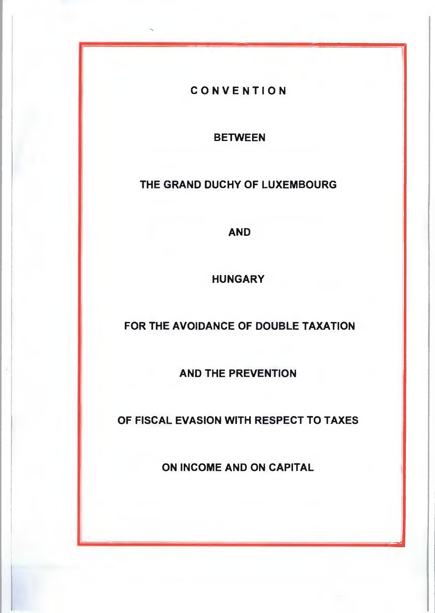**CONVENTION** 

**BETWEEN** 

**THE GRAND DUCHY OF LUXEMBOURG** 

**AND** 

**HUNGARY** 

**FOR THE AVOIDANCE OF DOUBLE TAXATION** 

**AND THE PREVENTION** 

**OF FISCAL EVASION WITH RESPECT TO TAXES** 

**ON INCOME AND ON CAPITAL** 

iadh<br>Bhail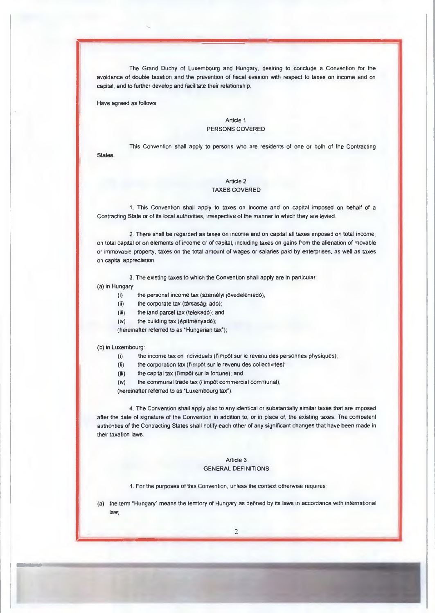The Grand Duchy of Luxembourg and Hungary, desinng to conclude a Convention for the avoidance of double taxation and the prevention of fiscal evasion with respect to taxes on income and on capital, and to further develop and facilitate their relationship,

Have agreed as follows:

## Article 1 PERSONS COVERED

This Convention shall apply to persons who are residents of one or both of the Contracting

States.

## Article 2 TAXES COVERED

1. This Convention shall apply to taxes on income and on capital imposed on behalf of a Contracting State or of its local authorities, irrespective of the manner in which they are levied

2. There shall be regarded as taxes on income and on capital all taxes imposed on total income, on total capital or on elements of income or of capital, including taxes on gains from the alienation of movable or immovable property, taxes on the total amount of wages or salaries paid by enterprises, as well as taxes on capital appreciation.

3. The existing taxes to which the Convention shall apply are in particular.

(a) in Hungary:

- (i) the personal income tax (szem6lyi jövedelemad6);
- (ii) the corporate tax (tarsasagi adó);
- (iii) the land parcel tax (telekad6); and
- $(iv)$  the building tax (építményadó);
- (hereinafter referred to as 'Hungarian tax\*);

#### (b) in Luxembourg:

- (i) the income tax on individuals (l'impôt sur le revenu des personnes physiques);
- (ii) the corporation tax (l'impôt sur le revenu des collectivités);
- (iii) the capital tax (l'impôt sur la fortune); and
- (iv) the communal trade tax (l'impôt commercial communal);

(hereinafter referred to as °Luxembourg tax-).

4. The Convention shall apply also to any identical or substantially similar taxes that are imposed after the date of signature of the Convention in addition to, or in place of, the existing taxes. The competent authorities of the Contracting States shall notify each other of any significant changes that have been made in their taxation laws.

#### Article 3 GENERAL DEFINITIONS

1. For the purposes of this Convention, unless the context otherwise requires:

(a) the term °Hungary" means the territory of Hungary as defined by its laws in accordance with international law;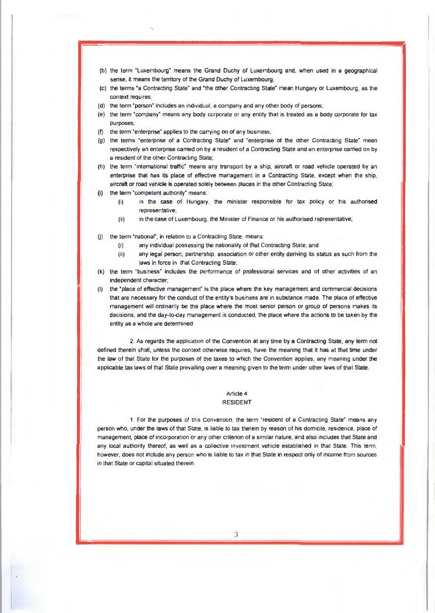- (b) the term "Luxembourg" means the Grand Duchy of Luxembourg and, when used in a geographical sense, it means the territory of the Grand Duchy of Luxembourg;
- (c) the terms 'a Contracting State' and 'the other Contracting State mean Hungary or Luxembourg, as the context requires,
- (d) the term 'person' includes an individual, a company and any other body of persons;
- (e) the term "company' means any body corporate or any entity that is treated as a body corporate for tax purposes;
- (f) the term "enterprise" applies to the carrying on of any business;
- (g) the terms "enterprise of a Contracting State" and "enterprise of the other Contracting State" mean respectively an enterprise carried on by a resident of a Contracting State and an enterpnse carried on by a resident of the other Contracting State;
- (h) the term "international traffic' means any transport by a ship, aircraft or road vehicle operated by an enterprise that has its place of effective management in a Contracting State, except when the ship, aircraft or road vehicle is operated solely between places in the other Contracting State;
- (i) the term 'competent authority' means:
	- (i) in the case of Hungary, the minister responsible for tax policy or his authorised representative,
	- (ii) in the case of Luxembourg, the Minister of Finance or his authorised representative;
- (j) the term "national", in relation to a Contracting State, means:
	- (i) any individual possessing the nationality of that Contracting State; and
	- (ii) any legal person, partnership, association or other entity deriving its status as such from the laws in force in that Contracting State;
- (k) the term "business' includes the performance of professional services and of other activities of an independent character;
- (I) the 'place of effective management" is the place where the key management and commercial decisions that are necessary for the conduct of the entity's business are in substance made. The place of effective management will ordinarily be the place where the most senior person or group of persons makes its decisions, and the day-to-day management is conducted, the place where the actions to be taken by the entity as a whole are determined.

2. As regards the application of the Convention at any time by a Contracting State, any term not defined therein shall, unless the context otherwise requires, have the meaning that it has at that time under the law of that State for the purposes of the taxes to which the Convention applies, any meaning under the applicable tax laws of that State prevailing over a meaning given to the term under other laws of that State.

#### Article 4 RESIDENT

1. For the purposes of this Convention, the term 'resident of a Contracting State" means any person who, under the laws of that State, is liable to tax therein by reason of his domicile, residence, place of management, place of incorporation or any other criterion of a similar nature, and also includes that State and any local authority thereof, as well as a collective investment vehicle established in that State. This term, however, does not include any person who is liable to tax in that State in respect only of income from sources in that State or capital situated therein.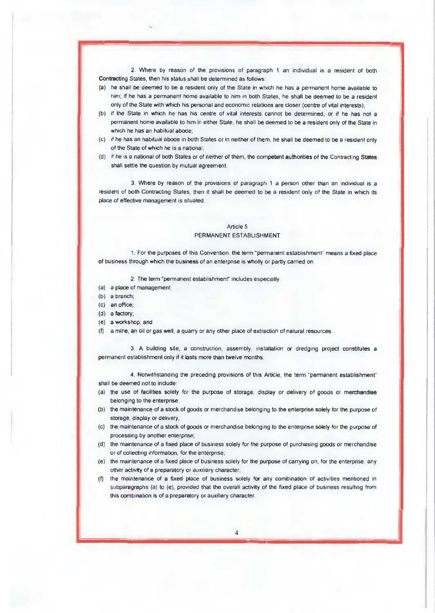2. Where by reason of the provisions of paragraph 1 an individual is a resident of both Contracting States, then his status shall be determined as follows:

- (a) he shall be deemed to be a resident only of the State in which he has a permanent horne available to him; if he has a permanent home available to him in both States, he shall be deemed to be a resident only of the State with which his personal and economic relations are closer (centre of vital interests);
- (b) if the State in which he has his centre of vital interests cannot be determined, or if he has not a permanent home available to him in either State, he shall be deemed to be a resident only of the State in which he has an habitual abode;
- (c) if he has an habitual abode in both States or in neither of them, he shall be deemed to be a resident only of the State of which he is a national;
- (d) if he is a national of both States or of neither of them, the competent authorities of the Contracting States shall settle the question by mutual agreement.

3. Where by reason of the provisions of paragraph 1 a person other than an individual is a resident of both Contracting States, then it shall be deemed to be a resident only of the State in which its place of effective management is situated.

#### Article 5 PERMANENT ESTABLISHMENT

1. For the purposes of this Convention, the term "permanent establishment" means a fixed place of business through which the business of an enterphse is wholly or partly carried on.

2. The term 'permanent establishment' includes especially:

- (a) a place of management;
- (b) a branch;
- (c) an office;
- (d) a factory;
- (e) a workshop; and
- (f) a mine, an oil or gas well, a quarry or any other place of extraction of natural resources.

3. A building site, a construction, assembly, installation or dredging project constitutes a permanent establishment only if it lasts more than twelve months.

4. Notwithstanding the preceding provisions of this Article, the term \*permanent establishment" shall be deemed not to include:

- (a) the use of facilities solely for the purpose of storage, display or delivery of goods or merchandise belonging to the enterprise;
- (b) the maintenance of a stock of goods or merchandise belonging to the enterprise solely for the purpose of storage, display or delivery;
- (c) the maintenance of a stock of goods or merchandise belonging to the enterprise solely for the purpose of processing by another enterprise;
- (d) the maintenance of a fixed place of business solely for the purpose of purchasing goods or merchandise or of collecting information, for the enterprise;
- (e) the maintenance of a fixed place of business solely for the purpose of carrying on, for the enterprise, any other activity of a preparatory or auxiliary character
- (f) the maintenance of a fixed place of business solely for any combination of activities mentioned in subparagraphs (a) to (e), provided that the overall activity of the fixed place of business resulting from this combination is of a preparatory or auxiliary character.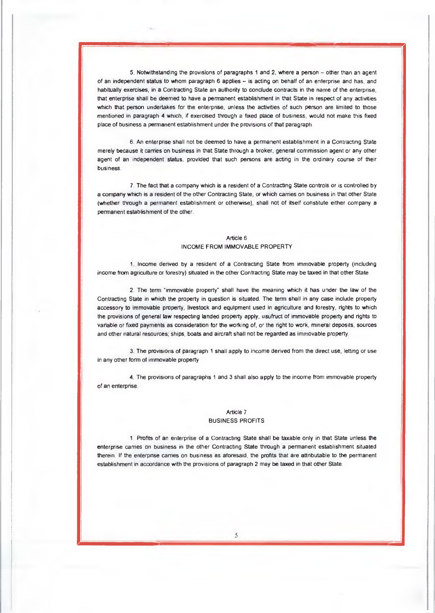5. Notwithstanding the provisions of paragraphs 1 and 2, where a person — other than an agent of an independent status to whom paragraph 6 applies — is acting on behalf of an enterprise and has, and habitually exercises, in a Contracting State an authority to conclude contracts in the name of the enterpnse, that enterprise shall be deemed to have a perrnanent establishment in that State in respect of any activities which that person undertakes for the enterprise, unless the activities of such person are limited to those mentioned in paragraph 4 which, if exercised through a fixed place of business, would not make this fixed place of business a permanent establishment under the provisions of that paragraph

6. An enterprise shall not be deemed to have a permanent establishment in a Contracting State merely because it carries on business in that State through a broker, general commission agent or any other agent of an independent status, provided that such persons are acting in the ordinary course of their business.

7. The fact that a company which is a resident of a Contracting State controls or is controlled by a company which is a resident of the other Contracting State, or which carries on business in that other State (whether through a permanent establishment or otherwise), shall not of itself constitute either company a permanent establishment of the other.

#### Article 6 INCOME FROM IMMOVABLE PROPERTY

1 Income derived by a resident of a Contracting State from immovable property (including income from agriculture or forestry) situated in the other Contracting State may be taxed in that other State.

2. The term 'immovable property' shall have the meaning which it has under the law of the Contracting State in which the property in question is situated. The term shall in any case include property accessory to immovable properly, livestock and equipment used in agriculture and forestry, rights to which the provisions of general law respecting landed property apply, usufruct of immovable property and rights to variable or fixed payments as consideration for the working of, or the right to work, mineral deposits, sources and other natural resources; ships, boats and aircraft shall not be regarded as immovable property

3. The provisions of paragraph 1 shall apply to income derived from the direct use, letting or use in any other form of immovable property

4. The provisions of paragraphs 1 and 3 shall also apply to the income from immovable property of an enterprise.

#### Article 7 BUSINESS PROFITS

1. Profits of an enterprise of a Contracting State shall be taxable only in that State unless the enterprise carries on business in the other Contracting State through a permanent establishment situated therein lf the enterprise carries on business as aforesaid, the profits that are attributable to the permanent establishment in accordance with the provisions of paragraph 2 may be taxed in that other State.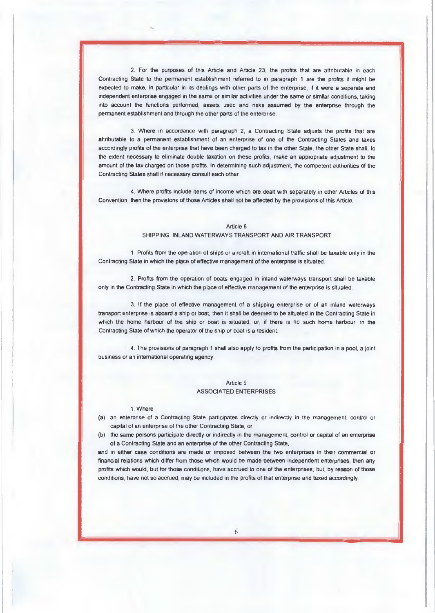2. For the purposes of this Article and Article 23, the profits that are attributable in each Contracting State to the permanent establishment referred to in paragraph 1 are the profits it might be expected to make, in particular in its dealings with other parts of the enterprise, if it were a seperate and independent enterphse engaged in the same or similar activities under the same or similar conditions, taking into account the functions performed, assets used and risks assumed by the enterprise through the permanent establishment and through the other parts of the enterprise.

-1•1=1111.

3. Where in accordance with paragraph 2, a Contracting State adjusts the profits that are attributable to a permanent establishment of an enterprise of one of the Contracting States and taxes accordingly profrts of the enterprise that have **been** charged to tax in the other State, the other State shall, to the extent necessary to eliminate double taxation on these profits, make an appropriate adjustment to the amount of the tax charged on those profits. In determining such adjustment, the competent authohties of the Contracting States shall if necessary consult each other.

4. Where profits include items of income which are dealt with separately in other Articles of this Convention, then the provisions of those Articles shall not be affected by the provisions of this Article.

#### Article 8

SHIPPING, INLAND WATERWAYS TRANSPORT AND AIR TRANSPORT

1. Profits from the operation of ships or aircraft in international traffic shall be taxable only in the Contracting State in which the place of effective management of the enterpnse is situated.

2. Profits from the operation of boats engaged in inland waterways transport shall be taxable only in the Contracting State in which the place of effective management of the enterprise is situated.

3. If the place of effective management of a shipping enterprise or of an inland waterways transport enterphse is aboard a ship or boat, then it shall be deemed to be situated in the Contracting State in which the home harbour of the ship or boat is situated, or, if there is no such home harbour, in **the**  Contracting State of which the operator of the ship or boat is a resident.

4. The provisions of paragraph 1 shall also apply to profits from the participation in a pool, a joint business or an intemational operating agency.

## Article 9 ASSOCIATED ENTERPRISES

#### 1. Where

- (a) an enterprise of a Contracting State participates directly or indirectly in the management, control or capital of an enterprise of the other Contracting State, or
- (b) the same persons participate directly or indirectly in the management, control or capital of an enterprise of a Contracting State and an enterprise of the other Contracting State,

and in either case conditions are made or imposed between the two enterprises in their commercial or financial relations which differ from those which would be made *between* independent enterpnses, then any profits which would, but for those conditions, have accrued to one of the enterphses, but, by reason of those conditions, have not so accrued, may be included in the profits of that enterpnse and taxed accordingly.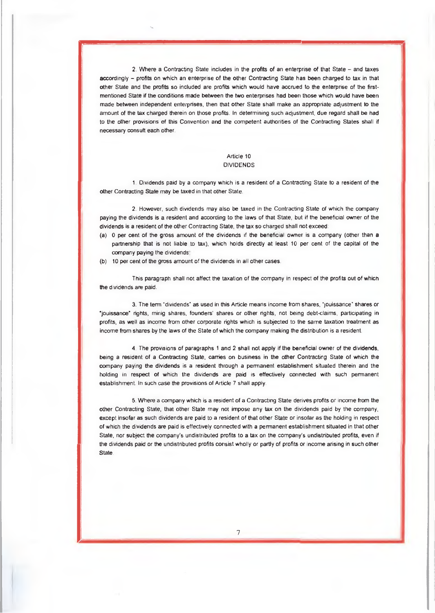2. Where a Contracting State includes in the profits of an enterprise of that State — and taxes accordingly - profits on which an enterprise of the other Contracting State has been charged to tax in that other State and the profits so included are profits which would have accrued to the enterprise of the firstmentioned State if the conditions made between the two enterprises had been those which would have been made between independent enterprises, then that other State shall make an approphate adjustment to the amount of the tax charged therein on those profits. ln determining such adjustment, due regard shall be had to the other provisions of this Convention and the competent authorities of the Contracting States shall if necessary consult each other.

## Article 10 DIVIDENDS

1. Dividends paid by a company which is a resident of a Contracting State to a resident of the other Contracting State may be taxed in that other State.

2. However, such dividends may also be taxed in the Contracting State of which the company paying the dividends is a resident and according to the laws of that State, but if the beneficial owner of the dividends is a resident of the other Contracting State, the tax so charged shall not exceed:

- (a) 0 per cent of the gross amount of the dividends *if* the beneficial owner is a company (other than **a**  partnership that is not liable to tax), which holds directly at least 10 per cent of the capital of the company paying the dividends,
- (b) 10 per cent of the gross amount of the dividends in all other cases.

This paragraph shall not affect the taxation of the company in respect of the profits out of which the dividends are paid.

3. The term "dividends" as used in this Article means income from shares, "jouissance" shares or •jouissance rights, minig shares, founders' shares or other rights, not being debt-claims, participating in profits, as well as income from other corporate hghts which is subjected to the same taxation treatment as income from shares by the laws of the State of which the company making the distribution is a resident.

4. The provisions of paragraphs 1 and 2 shall not apply if the beneficial owner of the dividends, being a resident of **a** Contracting State, carries on business in the other Contracting State of which the cornpany paying the dividends is a resident through a permanent establishment situated therein and the holding in respect of which the dividends are paid is effectively connected with such permanent establishment. ln such case the provisions of Article 7 shall apply.

5. Where a cornpany which is a resident of a Contracting State derives profits or income from the other Contracting State, that other State may not impose any tax on the dividends paid by the company, except insofar as such dividends are paid to a resident of that other State or insofar as the holding in respect of which the dividends are paid is effectively connected with a permanent establishment situated in that other State, nor subject the company's undistributed profits to a tax on the companys undistributed profits, even if the dividends paid or the undistributed profits consist wholly or partly of profits or income arising in such other **State**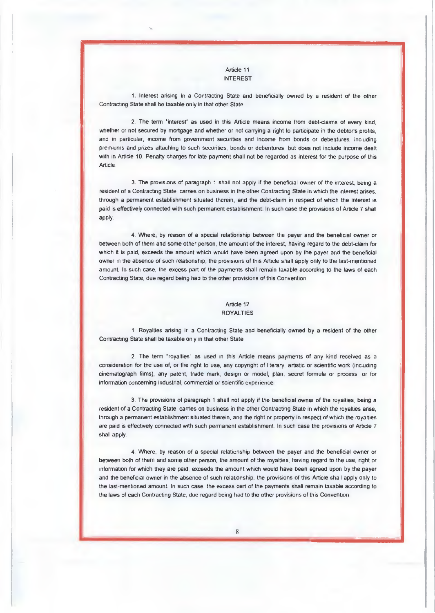#### Article 11 INTEREST

1. Interest arising in a Contracting State and beneficially owned by a resident of the other Contracting State shall be taxable only in that other State.

2. The term 'interest as used in this Article means income from debt-claims of every kind, whether or not secured by mortgage and whether or not carrying a right to participate in the debtor's profits, and in particular, income from government securities and income from bonds or debentures, including premiums and prizes attaching to such securities, bonds or debentures, but does not include income dealt with in Article 10. Penalty charges for late payment shall not be regarded as interest for the purpose of this Article

3. The provisions of paragraph 1 shall not apply if the beneficial owner of the interest, being a resident of a Contracting State, carries on business in the other Contracting State in which the interest arises, through a permanent establishment situated therein, and the debt-claim in respect of which the interest is paid is effectively connected with such permanent establishment In such case the provisions of Article 7 shall apply.

4. Where, by reason of a special relationship between the payer and the beneficial owner or between both of them and sorne other person, the arnount of the interest, having regard to the debt-claim for which it is paid, exceeds the amount which would have been agreed upon by the payer and the beneficial owner in the absence of such relationship, the provisions of this Article shall apply only to the last-mentioned amount ln such case, the excess part of the payments shall remain taxable according to the laws of each Contracting State, due regard being had to the other provisions of this Convention.

# Article 12

# ROYALTIES

1 Royalties arising in a Contracting State and beneficially owned by a resident of the other Contracting State shall be taxable only in that other State.

2. The term "royalties" as used in this Article means payments of any kind received as a consideration for the use of, or the right to use, any copyright of literary, artistic or scientific work (including cinematograph films), any patent, trade mark, design or model, plan, secret formula or process, or for information conceming industrial, commercial or scientific experience

3. The provisions of paragraph 1 shall not apply if the beneficial owner of the royalties, being a resident of a Contracting State, carries on business in the other Contracting State in which the royalties arise, through a permanent establishment situated therein, and the right or property in respect of which the royalties are paid is effectively connected with such permanent establishment. In such case the provisions of Article 7 shall apply.

4. Where, by reason of a special relationship between the payer and the beneficial owner or between both of them and some other person, the amount of the royalties, having regard to the use, right or information for which they are paid, exceeds the amount which would have been agreed upon by the payer and the beneficial owner in the absence of such relationship, the provisions of this Article shall apply only to the last-mentioned amount. In such case, the excess part of the payments shall remain taxable according to the laws of each Contracting State, due regard being had to the other provisions of this Convention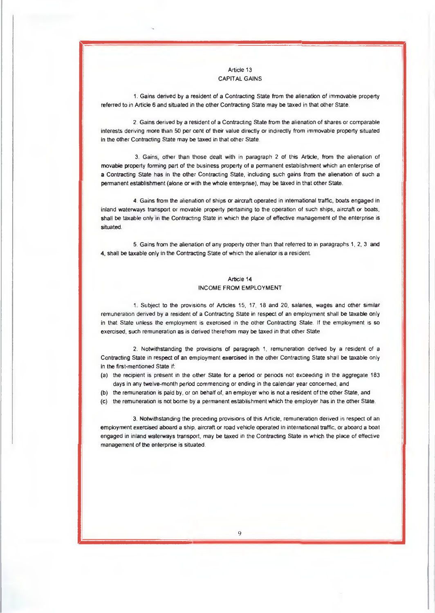## Article 13 CAPITAL GAINS

1. Gains derived by a resident of a Contracting State from the alienation of immovable property referred to in Article 6 and situated in the other Contracting State may be taxed in that other State.

2. Gains derived by a resident of a Contracting State from the alienation of shares or comparable interests deriving more than 50 per cent of their value directly or indirectly from immovable property situated in the other Contracting State may be taxed in that other State.

3. Gains, other than those dealt with in paragraph 2 of this Article, frorn the alienation of movable property forming part of the business property of a permanent establishment which an enterprise of **a** Contracting State has in the other Contracting State, including such gains from the alienation of such a permanent establishment (alone or with the whole enterphse), may be taxed in that other State.

4. Gains from the alienation of ships or aircraft operated in intemational traffic, boats engaged in inland waterways transport or movable property pertaining to the operation of such ships, aircraft or boats, shall be taxable only in the Contracting State in which the place of effective management of the enterprise is situated.

5. Gains from the alienation of any property other than that referred to in paragraphs 1, 2, 3 **and**  4, shall be taxable only in the Contracting State of which the alienator is a resident.

#### Article 14 INCOME FROM EMPLOYMENT

1. Subject to the provisions of Articles 15, 17, 18 and 20, salaries, wages and other similar remuneration derived by a resident of a Contracting State in respect of an employment shall be taxable only in that State unless the employment is exercised in the other Contracting State. lf the employment is so exercised, such remuneration as is derived therefrom may be taxed in that other State

2. Notwithstanding the provisions of paragraph 1, remuneration derived by a resident of a Contracting State in respect **of** an employment exercised in the other Contracting State shall be taxable only in the first-mentioned State if:

- (a) the recipient is present in the other State for a period or periods not exceeding in the aggregate 183 days in any twelve-month period commencing or ending in the calendar year concerned, and
- (b) the remuneration is paid by, or on behalf of, an employer who is not a resident of the other State, and
- (c) the remuneration is not borne by a permanent establishment which the employer has in the other State.

3. Notwithstanding the preceding provisions of this Article, remuneration derived in respect of an employment exercised aboard a ship, aircraft or road vehicle operated in international traffic, or aboard a boat engaged in inland waterways transport, may be taxed in the Contracting State in which the place of effective management of the enterprise is situated.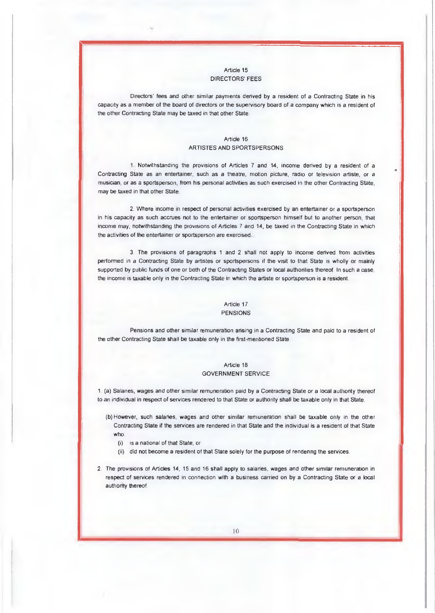#### Article 15 DIRECTORS' FEES

Directors' fees and other similar payments denved by a resident of a Contracting State in his capacity as a member of the board of directors or the supervisory board of a company which is a resident of the other Contracting State may be taxed in that other State.

#### Article 16 ARTISTES AND SPORTSPERSONS

1. Notwithstanding the provisions of Articles 7 and 14, income derived by a resident of a Contracting State as an entertainer, such as a theatre, motion picture, radio or television artiste, or a musician, or as a sportsperson, from his personal activities as such exercised in the other Contracting State, may be taxed in that other State.

2. Where income in respect of personal activities exercised by an entertainer or a sportsperson in his capacity as such accrues not to the entertainer or sportsperson himself but to another person, that income may, notwithstanding the provisions of Articles 7 and 14, be taxed in the Contracting State in which the activities of the entertainer or sportsperson are exercised

3. The provisions of paragraphs 1 and 2 shall not apply to income derived from activtties performed in a Contracting State by artistes or sportspersons if the visit to that State is wholly or mainly supported by public funds of one or both of the Contracting States or local authorities thereof. In such a case, the income is taxable only in the Contracting State in which the artiste or sportsperson is a resident.

# Article 17

#### PENSIONS

Pensions and other similar remuneration arising in a Contracting State and paid to a resident of the other Contracting State shall be taxable only in the first-mentioned State.

#### Article 18 GOVERNMENT SERVICE

1 (a) Salanes, wages and other similar remuneration paid by a Contracting State or a local authority thereof to an individual in respect of services rendered to that State or authority shall be taxable only in that State.

- (b) However, such salanes, wages and other similar remuneration shall be taxable only in the other Contracting State if the services are rendered in that State and the individual is a resident of that State who:
	- (i) is a national of that State; or
	- (ii) did not become a resident of that State solely for the purpose of rendenng the services.
- 2. The provisions of Articles 14, 15 and 16 shall apply to salaries, wages and other similar remuneration in respect of services rendered in connection with a business carried on by a Contracting State or a local authority thereof.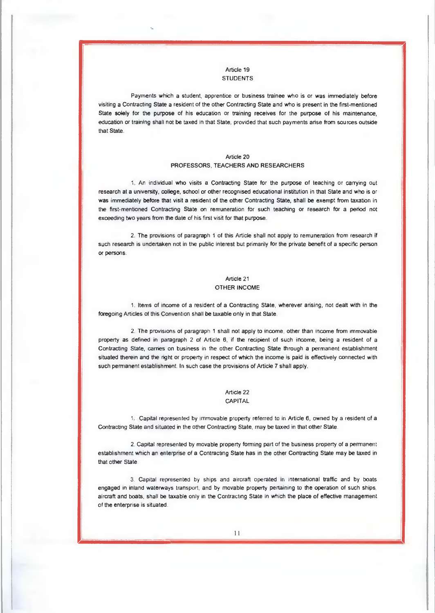#### Article 19 **STUDENTS**

Payrnents which a student, apprentice or business trainee who is or was immediately before visiting a Contracting State a resident of the other Contracting State and who is present in the first-mentioned State solely for the purpose of his education or training receives for the purpose of his maintenance, education or training shall not be taxed in that State, provided that such payments arise from sources outside that State.

#### Article 20 PROFESSORS, TEACHERS AND RESEARCHERS

1. An individual who visits a Contracting State for the purpose of teaching or carrying out research at a university, college, school or other recognised educational institution in that State and who is or was immediately before that visit a resident of the other Contracting State, shall be exempt from taxation in the first-mentioned Contracting State on remuneration for such teaching or research for a period not exceeding two years from the date of his first visit for that purpose.

2. The provisions of paragraph 1 of this Article shall not apply to remuneration from research if such research is undertaken not in the public interest but primarily for the private benefit of a specific person **Of** personS.

# Article 21 OTHER INCOME

1. Items of income of a resident of a Contracting State, wherever arising, not dealt with in the foregoing Articles of this Convention shall be taxable only in that State

2. The provisions of paragraph 1 shall not apply to income, other than income from immovable property as defined in paragraph 2 of Article 6, if the recipient of such income, being a resident of a Contracting State, carries on business in the other Contracting State through a permanent establishment situated therein and the right or property in respect of which the income is paid is effectively connected with such permanent establishment. In such case the provisions of Article 7 shall apply.

### Article 22 CAPITAL

1. Capital represented by immovable property referred to in Article 6, owned by a resident of a Contracting State and situated in the other Contracting State, may be taxed in that other State.

2. Capital represented by movable property forming part of the business property of a permanent establishment which an enterprise of **a** Contracting State has in the other Contracting State may be taxed in that other State.

3. Capital represented by ships and aircraft operated in international traffic and by boats engaged in inland waterways transport, and by movable property pertaining to the operation of such ships, aircraft and boats, shall be taxable only in the Contracting State in which the place of effective management of the enterprise is situated.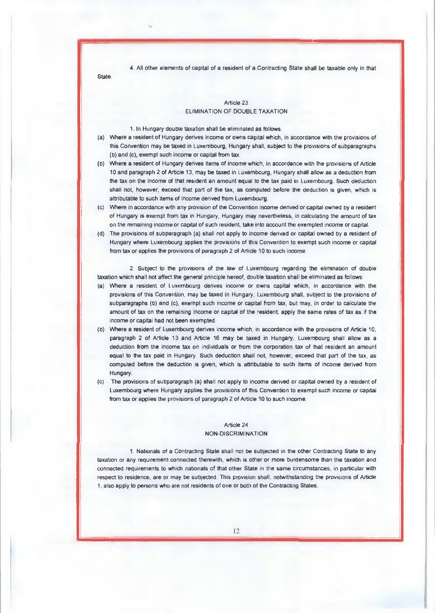4. All other elements of capital of a resident of a Contracting State shall be taxable only in that

**State** 

# Article 23 ELIMINATION OF DOUBLE TAXATION

1. In Hungary double taxation shall be eliminated as follows.

- (a) Where a resident of Hungary derives income or owns capital which, in accordance with the provisions of this Convention may be taxed in Luxembourg, Hungary shall, subject to the provisions of subparagraphs (b) and (c), exempt such income or capital from tax.
- (b) Where a resident of Hungary derives items of income which, in accordance with the provisions of Article 10 and paragraph 2 of Article 13, may be taxed in Luxembourg, Hungary shall allow as a deduction from the tax on the income of that resident an arnount equal to the tax paid in Luxembourg. Such deduction shall not, however, exceed that part of the tax, as computed before the deduction is given, which is attributable to such items of income derived frorn Luxembourg.
- (c) Where in accordance with any provision of the Convention income derived or capital owned by a resident of Hungary is exempt from tax in Hungary, Hungary may nevertheless, in calculating the amount of tax on the remaining income or capital of such resident, take into account the exempted income or capital.
- (d) The provisions of subparagraph (a) shall not apply to income derived or capital owned by a resident of Hungary where Luxembourg applies the provisions of this Convention to exempt such income or capital from tax or applies the provisions of paragraph 2 of Article 10 to such income.

2. Subject to the provisions of the law of Luxembourg regarding the elimination of double taxation which shall not affect the general principle hereof, double taxation shall be eliminated as follows:

- (a) Where a resident of Luxembourg derives income or owns capital which, in accordance with the provisions of this Convention, may be taxed in Hungary, Luxembourg shall, subject to the provisions of subparagraphs (b) and (c), exempt such income or capital from tax, but may, in order to calculate the amount of tax on the remaining income or capital of the resident, apply the same rates of tax as if the income or capital had not been exempted.
- (b) Where a resident of Luxembourg derives income which, in accordance with the provisions of Article 10, paragraph 2 of Article 13 and Article 16 may be taxed in Hungary, Luxembourg shall allow as a deduction from the income tax on individuals or from the corporation tax of that resident an amount equal to the tax paid in Hungary. Such deduction shall not, however, exceed that part of the tax, as computed before the deduction is given, which is attributable to such items of income derived from Hungary.
- (c) The provisions of subparagraph (a) shall not apply to income derived or capital owned by a resident of Luxembourg where Hungary applies the provisions of this Convention to exempt such income or capital from tax or applies the provisions of paragraph 2 of Article 10 to such income.

#### Article 24 NON-DISCRIMINATION

1. Nationals of a Contracting State shall not be subjected in the other Contracting State to any taxation or any requirement connected therewith, which is other or more burdensome than the taxation and connected requirements to which nationals of that other State in the same circumstances, in particular with respect to residence, are or may be subjected. This provision shall, notwithstanding the provisions of Article 1, also apply to persons who are not residents of one or both of the Contracting States.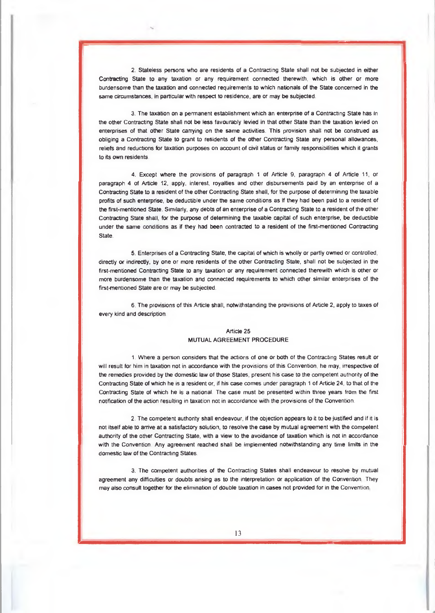2. Stateless persons who are residents of a Contracting State shall not be subjected in either Contracting State to any taxation or any requirement connected therewith, which is other or more burdensome than the taxation and connected requirements to which nationals of the State concerned in the same circumstances, in particular with respect to residence, are or may be subjected.

3. The taxation on a permanent establishment which an enterprise of a Contracting State has in the other Contracting State shall not be less favourably levied in that other State than the taxation levied on enterprises of that other State carrying on the same activities. This provision shall not be construed as obliging a Contracting State to grant to residents of the other Contracting State any personal allowances, reliefs and reductions for taxation purposes on account of civil status or family responsibilities which it grants to its own residents.

4. Except where the provisions of paragraph 1 of Article 9, paragraph 4 of Article 11, or paragraph 4 of Article 12, apply, interest, royalties and other disbursements paid by an enterprise of a Contracting State to a resident of the other Contracting State shall, for the purpose of determining the taxable profits of such enterprise, be deductible under the same conditions as if they had been paid to a resident of the first-mentioned State. Similarly, any debts of an enterprise of a Contracting State to a resident of the other Contracting State shall, for the purpose of determining the taxable capital of such enterprise, be deductible under the same conditions as if they had been contracted to a resident of the first-mentioned Contracting State.

5. Enterprises of a Contracting State, the capital of which is wholly or partly owned or controlled, directly or indirectly, by one or more residents of the other Contracting State, shall not be subjected in the first-mentioned Contacting State to any taxation or any requirement connected therewith which is other or more burdensome than the taxation and connected requirements to which other similar enterprises of the first-mentioned State are or may be subjected.

6. The provisions of this Article shall, notwithstanding the provisions of Article 2, apply to taxes of every kind and description

#### Article 25 MUTUAL AGREEMENT PROCEDURE

1. Where a person considers that the actions of one or both of the Contracting States result or will result for him in taxation not in accordance with the provisions of this Convention. he may, irrespective of the remedies provided by the domestic law of those States, present his case to the competent authority of the Contracting State of which he is a resident or, if his case comes under paragraph 1 of Article 24, to that of the Contracting State of which he is a national. The case must be presented within three years from the first notification of the action resulting in taxation not in accordance with the provisions of the Convention.

2. The competent authority shall endeavour, if the objection appears to it to be justified and if it is not itself able to arrive at a satisfactory solution, to resolve the case by mutual agreement with the competent authority of the other Contracting State, with a view to the avoidance of taxation which is not in accordance with the Convention Any agreement reached shall be implemented notwithstanding any time limits in the domestic law of the Contracting States.

3. The competent authorities of the Contracting States shall endeavour to resolve by mutual agreement any difficulties or doubts arising as to the interpretation or application of the Convention They may also consult together for the elimination of double taxation in cases not provided for in the Convention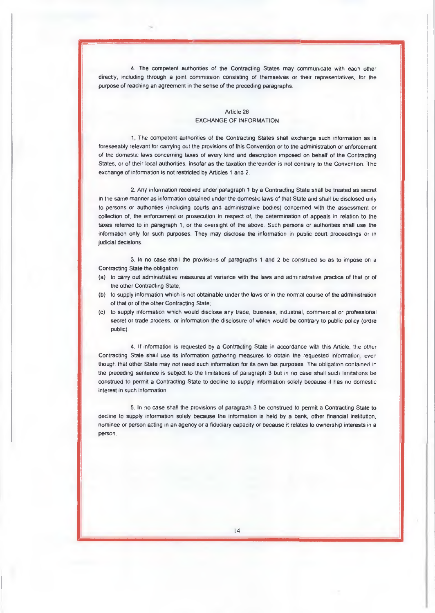**4.** The competent authonties of the Contracting States may communicate with each other directly, including through a joint commission consisting of themselves or their representatives, for the purpose of reaching an agreement in the sense of the preceding paragraphs.

#### Article 26 EXCHANGE OF INFORMATION

1. The competent authonties of the Contracting States shall exchange such information as is foreseeably relevant for carrying out the provisions of this Convention or to the administration or enforcement of the domestic laws concerning taxes of every kind and description imposed on behalf of the Contracting States, or of their local authorities, insofar as the taxation thereunder is not contrary to the Convention. The exchange of information is not restricted by Articles 1 and 2.

2. Any information received under paragraph 1 by a Contracting State shall be treated as secret in the same manner as information obtained under the domestic laws of that State and shall be disclosed only to persons or authorities (including courts and administrative bodies) concerned with the assessment or collection of, the enforcement or prosecution in respect of, the deterrnination of appeals in relation to the taxes referred to in paragraph 1, or the oversight of the above. Such persons or authorities shall use the information only for such purposes. They may disclose the information in public court proceedings or in judicial decisions.

3. In no case shall the provisions of paragraphs 1 and 2 be construed so as to impose on a Contracting State the obligation.

- (a) to carry out administrative measures at variance with the laws and administrative practice of that or **of**  the other Contracting State;
- (b) to supply information which is not obtainable under the laws or in the normal course of the administration of that or of the other Contracting State;
- (c) to supply information which would disclose any trade, business, industrial, commercial or professional secret or trade process, or information the disclosure of which would be contrary to public policy (ordre public)

4. If inforrnation is requested by a Contracting State in accordance with this Article, the other Contracting State shall use its information gathering measures to obtain the requested information, even though that other State may not need such information for its own tax purposes. The obligation contained in the preceding sentence is subject to the limitations of paragraph 3 but in no case shall such limitations be construed to permit a Contracting State to decline to supply information solely because it has no domestic interest in such information.

5. In no case shall the provisions of paragraph 3 be construed to permit a Contracting **State to**  decline to supply information solely because the information is held by a bank, other financial institution, nominee or person acting in an agency or a fiduciary capacity or because it relates to ownership interests in a person.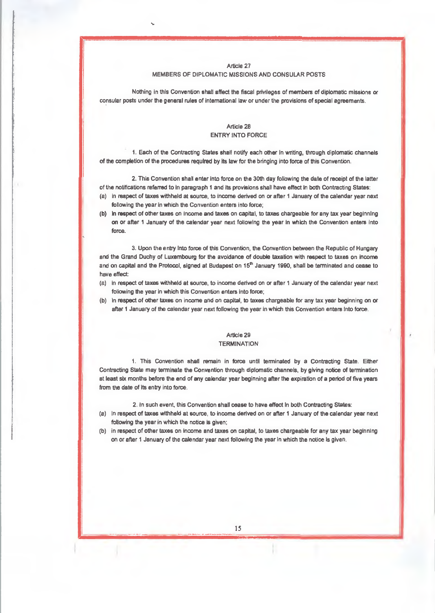Article 27 **MEMBERS OF DIPLOMATIC MISSIONS AND CONSULAR POSTS** 

**Nothing in this Convention shall affect the fiscal privileges of members of diplomatic missions or consular posts under the general rules of international law or under the provisions of special agreements.** 

#### **Article 28 ENTRY INTO FORCE**

**1. Each of the Contracting States shall notify each other in writing, through diplomatic channels of the completion of the procedures required by its law for the bringing into force of this Convention.** 

**2. This Convention shall enter into force on the 30th day following the date of receipt of the latter of the notifications referred to in paragraph 1 and its provisions shall have effect in both Contracting States:** 

- **(a) in respect of taxes withheld at source, to income derived on or after 1 January of the calendar year next following the year in which the Convention enters into force;**
- **(b) in respect of other taxes on income and taxes on capital, to taxes chargeable for any tax year beginning on or after 1 January of the calendar year next following the year in which the Convention enters Into force.**

**3. Upon the entry Into force of this Convention, the Convention between the Republic of Hungary and the Grand Duchy of Luxembourg for the avoidance of double taxation with respect to taxes on income**  and on capital and the Protocol, signed at Budapest on 15<sup>th</sup> January 1990, shall be terminated and cease to have effect:

- **(a) in respect of taxes withheld at source, to income derived on or after 1 January of the calendar year next following the year in which this Convention enters into force;**
- **(b) in respect of other taxes on income and on capital, to taxes chargeable for any tax year beginning on or after 1 January of the calendar year next following the year in which this Convention enters into force.**

# **Article 29**

#### **TERMINATION**

**I. This Convention shall remain in force until terminated by a Contracting State. Either Contracting State may terminate the Convention through diplomatic channels, by gtving notice of termination at least six months before the end of any calendar year beginning after the expiration of a period of five years from the date of its entry into force.** 

**2. In such event, this Convention shall cease to have effect in both Contracting States:** 

- **(a) In respect of taxes withheld at source, to income derived on or after 1 January of the calendar year next following the year in which the notice is given;**
- **(b) in respect of other taxes on income and taxes on capital, to taxes chargeable for any tax year beginning on or after 1 January of the calendar year next following the year in which the notice is given.**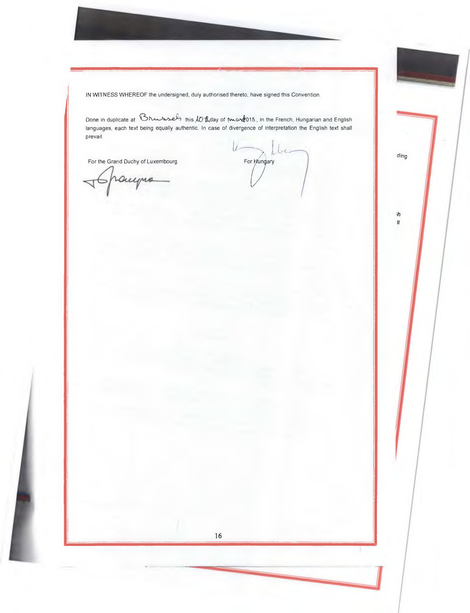IN WITNESS WHEREOF the undersigned, duly authorised thereto, have signed this Convention.

Done in duplicate at  $\beta$ h  $\ell_2$ , this  $\ell_1$  this  $\ell_2$  this  $\ell_3$  of more  $\ell_4$ 015., in the French, Hungarian and English languages, each text being equally authentic. In case of divergence of interpretation the English text shall prevail.

16

For the Grand Duchy of Luxembourg

 $\cup$  $\overline{r}$  For Hungary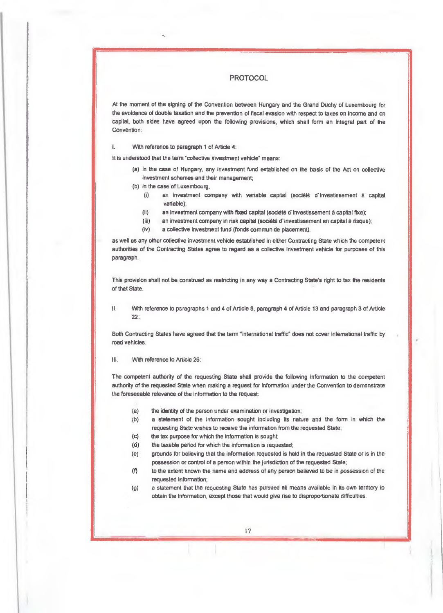#### **PROTOCOL**

**At the moment of the signing of the Convention between Hungary and the Grand Duchy of Luxembourg for the avoidance of double taxation and the prevention of fiscal evasion with respect to taxes on income and on capital, both skies have agreed upon the following provisions, which shall form an Integral part of the Convention:** 

l. **With reference to paragraph 1 of Article 4:** 

**It is understood that the term 'collective investment vehicle" means:** 

- **(a) in the case of Hungary, any investment fund established on the basis of the Act on collective investment schemes and their management;**
- **(b) in the case of Luxembourg,** 
	- $(i)$ an investment company with variable capital (société d'investissement à capital **variable);**
	- (ii) an investment company with fixed capital (société d'investissement à capital fixe);
	- (iii) an investment company in risk capital (société d'investissement en capital à risque);
	- **(iv) a collective investment fund (fonds commun de placement),**

**as well as any other collective investment vehicle established in either Contracting State which the competent authorities of the Contracting States agree to regard as a collective investrnent vehicle for purposes of this paragraph.** 

**This provision shall not be construed as restricting in any way a Contracting State's right to tax the residents of that State.** 

**II. Wdh reference to paragraphs 1 and 4 of Article 8, paragraph 4 of Article 13 and paragraph 3 of Article 22:** 

Both Contracting States have agreed that the term "international traffic" does not cover international traffic by **road vehicles.** 

**Ill. With reference to Article 26:** 

**The cornpetent authority of the requesting State shall provide the following information to the competent authority of the requested State when making a request for information under the Convention to demonstrate the foreseeable relevance of the information to the request:** 

- **(a) the identity of the person under examination or investigation;**
- **(b) a statement of the information sought including its nature and the form in which the requesting State wishes to receive the information from the requested State;**
- **(c) the tax purpose for which the information is sought;**
- **(d) the taxable period for which the information is requested;**
- **(e) grounds for believing that the information requested is held in the requested State or is in the possession or control of a person within the jurisdiction of the requested State;**
- $(9)$ **to the extent known the name and address of any person believed to be in possession of the requested information;**
- **(g) a statement that the requesting State has pursued all means available in its own territory to obtain the information, except those that would give rise to disproportionate difficutties**